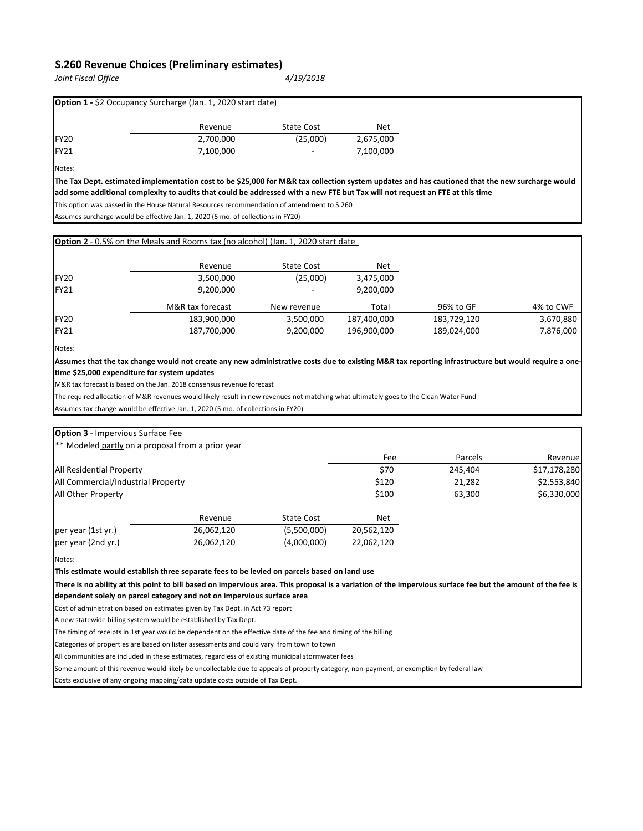## **S.260 Revenue Choices (Preliminary estimates)**

*Joint Fiscal Office 4/19/2018*

|                  | <b>Option 1 - \$2 Occupancy Surcharge (Jan. 1, 2020 start date)</b> |                          |           |
|------------------|---------------------------------------------------------------------|--------------------------|-----------|
|                  | Revenue                                                             | <b>State Cost</b>        | Net       |
| FY <sub>20</sub> | 2,700,000                                                           | (25,000)                 | 2,675,000 |
| FY21             | 7,100,000                                                           | $\overline{\phantom{a}}$ | 7,100,000 |
| Notes:           |                                                                     |                          |           |

**The Tax Dept. estimated implementation cost to be \$25,000 for M&R tax collection system updates and has cautioned that the new surcharge would add some additional complexity to audits that could be addressed with a new FTE but Tax will not request an FTE at this time**

This option was passed in the House Natural Resources recommendation of amendment to S.260

Assumes surcharge would be effective Jan. 1, 2020 (5 mo. of collections in FY20)

|                  | <b>Option 2</b> - 0.5% on the Meals and Rooms tax (no alcohol) (Jan. 1, 2020 start date) |                   |             |             |           |
|------------------|------------------------------------------------------------------------------------------|-------------------|-------------|-------------|-----------|
|                  | Revenue                                                                                  | <b>State Cost</b> | <b>Net</b>  |             |           |
| FY <sub>20</sub> | 3,500,000                                                                                | (25,000)          | 3,475,000   |             |           |
| FY21             | 9,200,000                                                                                |                   | 9,200,000   |             |           |
|                  | M&R tax forecast                                                                         | New revenue       | Total       | 96% to GF   | 4% to CWF |
| FY <sub>20</sub> | 183,900,000                                                                              | 3,500,000         | 187,400,000 | 183,729,120 | 3,670,880 |
| FY21             | 187,700,000                                                                              | 9,200,000         | 196,900,000 | 189,024,000 | 7,876,000 |

Notes:

**Assumes that the tax change would not create any new administrative costs due to existing M&R tax reporting infrastructure but would require a onetime \$25,000 expenditure for system updates**

M&R tax forecast is based on the Jan. 2018 consensus revenue forecast

The required allocation of M&R revenues would likely result in new revenues not matching what ultimately goes to the Clean Water Fund

Assumes tax change would be effective Jan. 1, 2020 (5 mo. of collections in FY20)

| <b>Option 3</b> - Impervious Surface Fee                                                                                                                                                                                              |            |                   |            |         |              |
|---------------------------------------------------------------------------------------------------------------------------------------------------------------------------------------------------------------------------------------|------------|-------------------|------------|---------|--------------|
| ** Modeled partly on a proposal from a prior year                                                                                                                                                                                     |            |                   |            |         |              |
|                                                                                                                                                                                                                                       |            |                   | Fee        | Parcels | Revenue      |
| All Residential Property                                                                                                                                                                                                              |            |                   | \$70       | 245,404 | \$17,178,280 |
| All Commercial/Industrial Property                                                                                                                                                                                                    |            |                   | \$120      | 21,282  | \$2,553,840  |
| All Other Property                                                                                                                                                                                                                    |            |                   | \$100      | 63,300  | \$6,330,000  |
|                                                                                                                                                                                                                                       | Revenue    | <b>State Cost</b> | Net        |         |              |
| per year (1st yr.)                                                                                                                                                                                                                    | 26,062,120 | (5,500,000)       | 20,562,120 |         |              |
| per year (2nd yr.)                                                                                                                                                                                                                    | 26,062,120 | (4,000,000)       | 22.062.120 |         |              |
| Notes:                                                                                                                                                                                                                                |            |                   |            |         |              |
| This estimate would establish three separate fees to be levied on parcels based on land use                                                                                                                                           |            |                   |            |         |              |
| There is no ability at this point to bill based on impervious area. This proposal is a variation of the impervious surface fee but the amount of the fee is<br>dependent solely on parcel category and not on impervious surface area |            |                   |            |         |              |
| Cost of administration based on estimates given by Tax Dept. in Act 73 report                                                                                                                                                         |            |                   |            |         |              |

A new statewide billing system would be established by Tax Dept.

The timing of receipts in 1st year would be dependent on the effective date of the fee and timing of the billing

Categories of properties are based on lister assessments and could vary from town to town

All communities are included in these estimates, regardless of existing municipal stormwater fees

Some amount of this revenue would likely be uncollectable due to appeals of property category, non-payment, or exemption by federal law

Costs exclusive of any ongoing mapping/data update costs outside of Tax Dept.